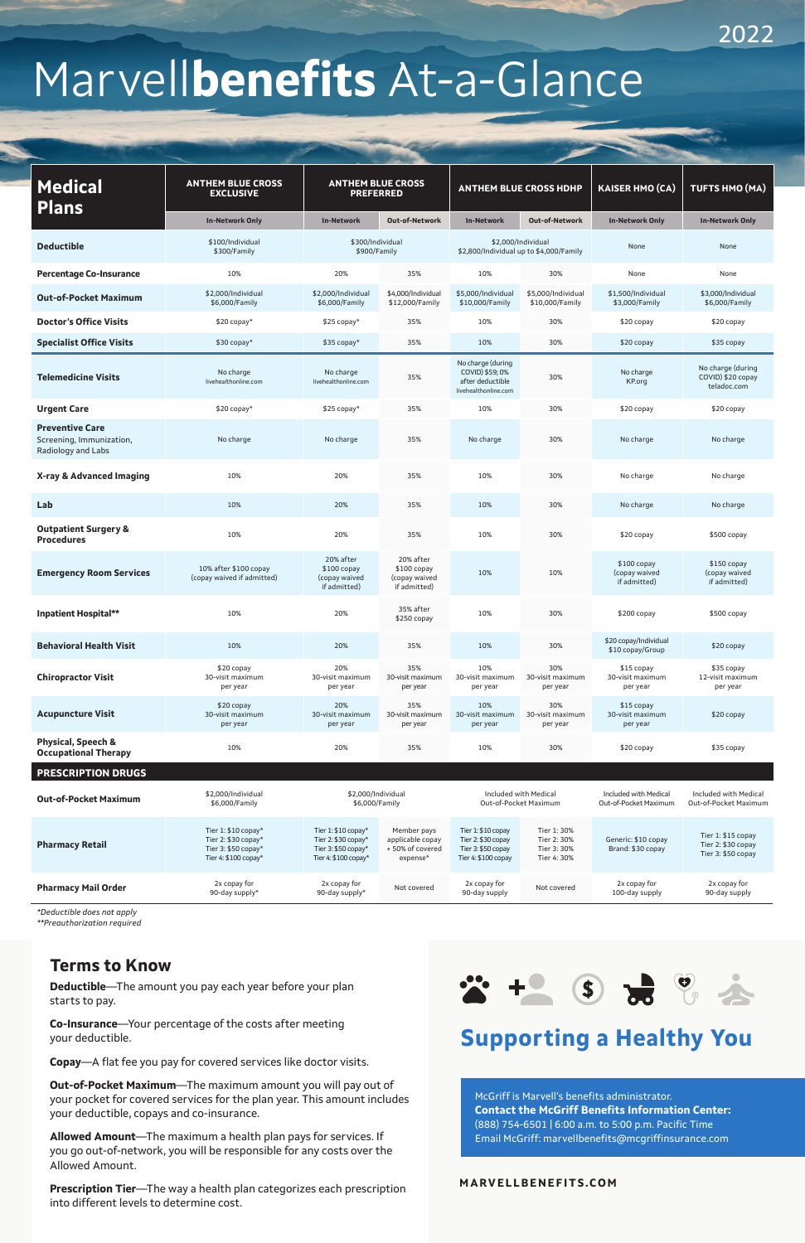# Marvell**benefits** At-a-Glance

## \* + 5 2 % \* **Supporting a Healthy You**

#### **MARVELLBENEFITS.COM**

| <b>Medical</b><br><b>Plans</b>                                           | <b>ANTHEM BLUE CROSS</b><br><b>EXCLUSIVE</b>                                              | <b>ANTHEM BLUE CROSS</b><br><b>PREFERRED</b>                                                 |                                                                |                                                                                       | <b>ANTHEM BLUE CROSS HDHP</b>                                 | <b>KAISER HMO (CA)</b>                         | TUFTS HMO (MA)                                                 |
|--------------------------------------------------------------------------|-------------------------------------------------------------------------------------------|----------------------------------------------------------------------------------------------|----------------------------------------------------------------|---------------------------------------------------------------------------------------|---------------------------------------------------------------|------------------------------------------------|----------------------------------------------------------------|
|                                                                          | <b>In-Network Only</b>                                                                    | <b>In-Network</b>                                                                            | Out-of-Network                                                 | <b>In-Network</b>                                                                     | <b>Out-of-Network</b>                                         | <b>In-Network Only</b>                         | <b>In-Network Only</b>                                         |
| <b>Deductible</b>                                                        | \$100/Individual<br>\$300/Family                                                          | \$300/Individual<br>\$900/Family                                                             |                                                                |                                                                                       | \$2,000/Individual<br>\$2,800/Individual up to \$4,000/Family | None                                           | None                                                           |
| <b>Percentage Co-Insurance</b>                                           | 10%                                                                                       | 20%                                                                                          | 35%                                                            | 10%                                                                                   | 30%                                                           | None                                           | None                                                           |
| <b>Out-of-Pocket Maximum</b>                                             | \$2.000/Individual<br>\$6,000/Family                                                      | \$2,000/Individual<br>\$6,000/Family                                                         | \$4,000/Individual<br>\$12,000/Family                          | \$5,000/Individual<br>\$10,000/Family                                                 | \$5,000/Individual<br>\$10,000/Family                         | \$1,500/Individual<br>\$3,000/Family           | \$3,000/Individual<br>\$6,000/Family                           |
| <b>Doctor's Office Visits</b>                                            | $$20$ copay*                                                                              | $$25$ copay*                                                                                 | 35%                                                            | 10%                                                                                   | 30%                                                           | \$20 copay                                     | \$20 copay                                                     |
| <b>Specialist Office Visits</b>                                          | $$30$ copay*                                                                              | $$35$ copay*                                                                                 | 35%                                                            | 10%                                                                                   | 30%                                                           | \$20 copay                                     | \$35 copay                                                     |
| <b>Telemedicine Visits</b>                                               | No charge<br>livehealthonline.com                                                         | No charge<br>livehealthonline.com                                                            | 35%                                                            | No charge (during<br>COVID) \$59; 0%<br>after deductible<br>livehealthonline.com      | 30%                                                           | No charge<br>KP.org                            | No charge (during<br>COVID) \$20 copay<br>teladoc.com          |
| <b>Urgent Care</b>                                                       | $$20$ copay*                                                                              | $$25$ copay*                                                                                 | 35%                                                            | 10%                                                                                   | 30%                                                           | \$20 copay                                     | \$20 copay                                                     |
| <b>Preventive Care</b><br>Screening, Immunization,<br>Radiology and Labs | No charge                                                                                 | No charge                                                                                    | 35%                                                            | No charge                                                                             | 30%                                                           | No charge                                      | No charge                                                      |
| X-ray & Advanced Imaging                                                 | 10%                                                                                       | 20%                                                                                          | 35%                                                            | 10%                                                                                   | 30%                                                           | No charge                                      | No charge                                                      |
| Lab                                                                      | 10%                                                                                       | 20%                                                                                          | 35%                                                            | 10%                                                                                   | 30%                                                           | No charge                                      | No charge                                                      |
| <b>Outpatient Surgery &amp;</b><br><b>Procedures</b>                     | 10%                                                                                       | 20%                                                                                          | 35%                                                            | 10%                                                                                   | 30%                                                           | \$20 copay                                     | \$500 copay                                                    |
| <b>Emergency Room Services</b>                                           | 10% after \$100 copay<br>(copay waived if admitted)                                       | 20% after<br>$$100$ copay<br>(copay waived<br>if admitted)                                   | 20% after<br>$$100$ copay<br>(copay waived<br>if admitted)     | 10%                                                                                   | 10%                                                           | $$100$ copay<br>(copay waived<br>if admitted)  | $$150$ copay<br>(copay waived<br>if admitted)                  |
| <b>Inpatient Hospital**</b>                                              | 10%                                                                                       | 20%                                                                                          | 35% after<br>\$250 copay                                       | 10%                                                                                   | 30%                                                           | $$200$ copay                                   | \$500 copay                                                    |
| <b>Behavioral Health Visit</b>                                           | 10%                                                                                       | 20%                                                                                          | 35%                                                            | 10%                                                                                   | 30%                                                           | \$20 copay/Individual<br>\$10 copay/Group      | $$20$ copay                                                    |
| <b>Chiropractor Visit</b>                                                | \$20 copay<br>30-visit maximum<br>per year                                                | 20%<br>30-visit maximum<br>per year                                                          | 35%<br>30-visit maximum<br>per year                            | 10%<br>30-visit maximum<br>per year                                                   | 30%<br>30-visit maximum<br>per year                           | \$15 copay<br>30-visit maximum<br>per year     | \$35 copay<br>12-visit maximum<br>per year                     |
| <b>Acupuncture Visit</b>                                                 | \$20 copay<br>30-visit maximum<br>per year                                                | 20%<br>30-visit maximum<br>per year                                                          | 35%<br>30-visit maximum<br>per year                            | 10%<br>30-visit maximum<br>per year                                                   | 30%<br>30-visit maximum<br>per year                           | $$15$ copay<br>30-visit maximum<br>per year    | $$20$ copay                                                    |
| <b>Physical, Speech &amp;</b><br><b>Occupational Therapy</b>             | 10%                                                                                       | 20%                                                                                          | 35%                                                            | 10%                                                                                   | 30%                                                           | \$20 copay                                     | \$35 copay                                                     |
| <b>PRESCRIPTION DRUGS</b>                                                |                                                                                           |                                                                                              |                                                                |                                                                                       |                                                               |                                                |                                                                |
| <b>Out-of-Pocket Maximum</b>                                             | \$2,000/Individual<br>\$6,000/Family                                                      | \$2,000/Individual<br>\$6,000/Family                                                         |                                                                |                                                                                       | Included with Medical<br>Out-of-Pocket Maximum                | Included with Medical<br>Out-of-Pocket Maximum | Included with Medical<br>Out-of-Pocket Maximum                 |
| <b>Pharmacy Retail</b>                                                   | Tier 1: \$10 copay*<br>Tier 2: \$30 copay*<br>Tier 3: \$50 copay*<br>Tier 4: \$100 copay* | Tier 1: $$10$ copay*<br>Tier 2: \$30 copay*<br>Tier 3: $$50$ copay*<br>Tier 4: $$100$ copay* | Member pays<br>applicable copay<br>+50% of covered<br>expense* | Tier 1: \$10 copay<br>Tier 2: \$30 copay<br>Tier 3: \$50 copay<br>Tier 4: \$100 copay | Tier 1: 30%<br>Tier 2: 30%<br>Tier 3: 30%<br>Tier 4: 30%      | Generic: \$10 copay<br>Brand: \$30 copay       | Tier 1: \$15 copay<br>Tier 2: \$30 copay<br>Tier 3: \$50 copay |
| <b>Pharmacy Mail Order</b>                                               | 2x copay for<br>90-day supply*                                                            | 2x copay for<br>90-day supply*                                                               | Not covered                                                    | 2x copay for<br>90-day supply                                                         | Not covered                                                   | 2x copay for<br>100-day supply                 | 2x copay for<br>90-day supply                                  |

*\*Deductible does not apply*

*\*\*Preauthorization required*

#### **Terms to Know**

**Deductible**—The amount you pay each year before your plan starts to pay.

**Co-Insurance**—Your percentage of the costs after meeting your deductible.

**Copay**—A flat fee you pay for covered services like doctor visits.

**Out-of-Pocket Maximum**—The maximum amount you will pay out of your pocket for covered services for the plan year. This amount includes your deductible, copays and co-insurance.

**Allowed Amount**—The maximum a health plan pays for services. If you go out-of-network, you will be responsible for any costs over the Allowed Amount.

**Prescription Tier**—The way a health plan categorizes each prescription into different levels to determine cost.

McGriff is Marvell's benefits administrator. **Contact the McGriff Benefits Information Center:** (888) 754-6501 | 6:00 a.m. to 5:00 p.m. Pacific Time Email McGriff: marvellbenefits@mcgriffinsurance.com